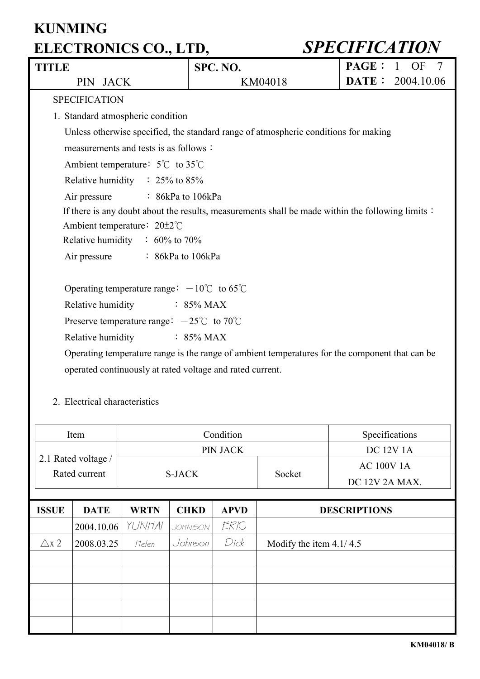| <b>TITLE</b>                  |                                                                                     | SPC. NO.                           |        | <b>PAGE:</b><br>$\mathbf{1}$<br>OF<br>7                                                           |  |  |  |  |  |
|-------------------------------|-------------------------------------------------------------------------------------|------------------------------------|--------|---------------------------------------------------------------------------------------------------|--|--|--|--|--|
| PIN JACK                      |                                                                                     | <b>DATE:</b> 2004.10.06<br>KM04018 |        |                                                                                                   |  |  |  |  |  |
| <b>SPECIFICATION</b>          |                                                                                     |                                    |        |                                                                                                   |  |  |  |  |  |
|                               | 1. Standard atmospheric condition                                                   |                                    |        |                                                                                                   |  |  |  |  |  |
|                               | Unless otherwise specified, the standard range of atmospheric conditions for making |                                    |        |                                                                                                   |  |  |  |  |  |
|                               | measurements and tests is as follows:                                               |                                    |        |                                                                                                   |  |  |  |  |  |
|                               | Ambient temperature: $5^{\circ}$ C to $35^{\circ}$ C                                |                                    |        |                                                                                                   |  |  |  |  |  |
|                               | Relative humidity $\therefore$ 25% to 85%                                           |                                    |        |                                                                                                   |  |  |  |  |  |
| Air pressure                  | $\therefore$ 86kPa to 106kPa                                                        |                                    |        |                                                                                                   |  |  |  |  |  |
|                               |                                                                                     |                                    |        | If there is any doubt about the results, measurements shall be made within the following limits : |  |  |  |  |  |
|                               | Ambient temperature: $20\pm2\degree$ C                                              |                                    |        |                                                                                                   |  |  |  |  |  |
|                               | Relative humidity $\therefore$ 60% to 70%                                           |                                    |        |                                                                                                   |  |  |  |  |  |
| Air pressure                  | $\therefore$ 86kPa to 106kPa                                                        |                                    |        |                                                                                                   |  |  |  |  |  |
|                               |                                                                                     |                                    |        |                                                                                                   |  |  |  |  |  |
|                               | Operating temperature range: $-10^{\circ}$ C to 65°C                                |                                    |        |                                                                                                   |  |  |  |  |  |
| Relative humidity             |                                                                                     | $\therefore$ 85% MAX               |        |                                                                                                   |  |  |  |  |  |
|                               | Preserve temperature range: $-25^{\circ}\text{C}$ to 70 $\text{C}$                  |                                    |        |                                                                                                   |  |  |  |  |  |
| Relative humidity             |                                                                                     | $\therefore$ 85% MAX               |        |                                                                                                   |  |  |  |  |  |
|                               |                                                                                     |                                    |        | Operating temperature range is the range of ambient temperatures for the component that can be    |  |  |  |  |  |
|                               | operated continuously at rated voltage and rated current.                           |                                    |        |                                                                                                   |  |  |  |  |  |
|                               |                                                                                     |                                    |        |                                                                                                   |  |  |  |  |  |
| 2. Electrical characteristics |                                                                                     |                                    |        |                                                                                                   |  |  |  |  |  |
|                               |                                                                                     |                                    |        |                                                                                                   |  |  |  |  |  |
| Item                          | Condition<br>Specifications                                                         |                                    |        |                                                                                                   |  |  |  |  |  |
| PIN JACK<br><b>DC 12V 1A</b>  |                                                                                     |                                    |        |                                                                                                   |  |  |  |  |  |
| 2.1 Rated voltage /           |                                                                                     |                                    |        | <b>AC 100V 1A</b>                                                                                 |  |  |  |  |  |
| Rated current                 | <b>S-JACK</b>                                                                       |                                    | Socket | DC 12V 2A MAX.                                                                                    |  |  |  |  |  |
|                               |                                                                                     |                                    |        |                                                                                                   |  |  |  |  |  |

| <b>ISSUE</b>    | <b>DATE</b>      | <b>WRTN</b> | <b>CHKD</b>    | <b>APVD</b> | <b>DESCRIPTIONS</b>       |
|-----------------|------------------|-------------|----------------|-------------|---------------------------|
|                 | 2004.10.06 YUNHA |             | <b>JOHNSON</b> | ERIC        |                           |
| $\triangle$ x 2 | 2008.03.25       | Helen       | Johnson        | Dick        | Modify the item $4.1/4.5$ |
|                 |                  |             |                |             |                           |
|                 |                  |             |                |             |                           |
|                 |                  |             |                |             |                           |
|                 |                  |             |                |             |                           |
|                 |                  |             |                |             |                           |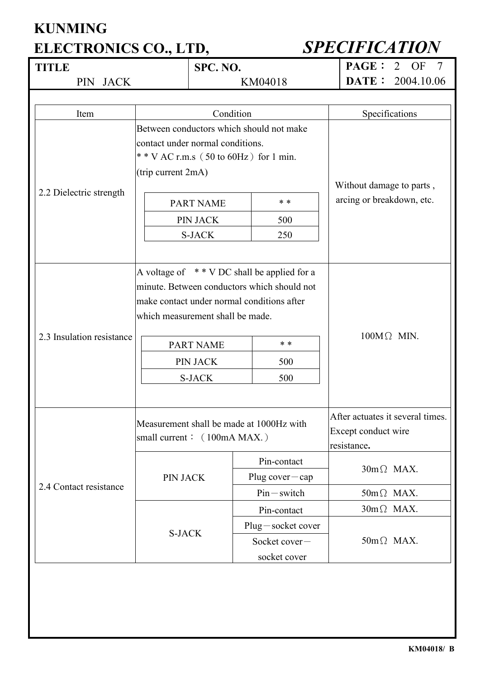| <b>TITLE</b>              |                                                | SPC. NO.                                 |                                                            |                   | <b>PAGE:</b>                                           | OF<br>$\tau$<br>2 |  |
|---------------------------|------------------------------------------------|------------------------------------------|------------------------------------------------------------|-------------------|--------------------------------------------------------|-------------------|--|
| PIN JACK                  |                                                | KM04018                                  |                                                            |                   | DATE:                                                  | 2004.10.06        |  |
|                           |                                                |                                          |                                                            |                   |                                                        |                   |  |
| Item                      |                                                | Condition                                |                                                            |                   |                                                        | Specifications    |  |
|                           |                                                |                                          | Between conductors which should not make                   |                   |                                                        |                   |  |
|                           | contact under normal conditions.               |                                          |                                                            |                   |                                                        |                   |  |
|                           |                                                |                                          | * * V AC r.m.s $(50 \text{ to } 60 \text{ Hz})$ for 1 min. |                   |                                                        |                   |  |
|                           | (trip current 2mA)                             |                                          |                                                            |                   |                                                        |                   |  |
| 2.2 Dielectric strength   |                                                |                                          |                                                            |                   | Without damage to parts,                               |                   |  |
|                           |                                                | <b>PART NAME</b>                         | $* *$                                                      |                   | arcing or breakdown, etc.                              |                   |  |
|                           |                                                | PIN JACK                                 | 500                                                        |                   |                                                        |                   |  |
|                           |                                                | <b>S-JACK</b>                            | 250                                                        |                   |                                                        |                   |  |
|                           |                                                |                                          |                                                            |                   |                                                        |                   |  |
|                           | A voltage of $*$ * V DC shall be applied for a |                                          |                                                            |                   |                                                        |                   |  |
|                           | minute. Between conductors which should not    |                                          |                                                            | $100M\Omega$ MIN. |                                                        |                   |  |
|                           | make contact under normal conditions after     |                                          |                                                            |                   |                                                        |                   |  |
|                           | which measurement shall be made.               |                                          |                                                            |                   |                                                        |                   |  |
| 2.3 Insulation resistance |                                                |                                          |                                                            |                   |                                                        |                   |  |
|                           | * *<br><b>PART NAME</b>                        |                                          |                                                            |                   |                                                        |                   |  |
|                           | <b>PIN JACK</b>                                |                                          | 500                                                        |                   |                                                        |                   |  |
|                           | <b>S-JACK</b><br>500                           |                                          |                                                            |                   |                                                        |                   |  |
|                           |                                                |                                          |                                                            |                   |                                                        |                   |  |
|                           |                                                |                                          |                                                            |                   |                                                        |                   |  |
|                           |                                                | Measurement shall be made at 1000Hz with |                                                            |                   | After actuates it several times<br>Except conduct wire |                   |  |
|                           | small current: (100mA MAX.)                    |                                          |                                                            |                   | resistance.                                            |                   |  |
|                           |                                                |                                          | Pin-contact                                                |                   |                                                        |                   |  |
| 2.4 Contact resistance    | PIN JACK                                       |                                          |                                                            |                   | $30m\Omega$ MAX.                                       |                   |  |
|                           |                                                |                                          | Plug cover $-\text{cap}$<br>$Pin-switch$                   |                   |                                                        | $50m\Omega$ MAX.  |  |
|                           |                                                |                                          | Pin-contact                                                |                   |                                                        | $30m\Omega$ MAX.  |  |
|                           |                                                |                                          |                                                            |                   |                                                        |                   |  |
|                           | <b>S-JACK</b>                                  |                                          | $Plug - socket cover$                                      |                   |                                                        |                   |  |
|                           |                                                |                                          | Socket cover-                                              |                   | $50m\Omega$ MAX.                                       |                   |  |
|                           |                                                |                                          | socket cover                                               |                   |                                                        |                   |  |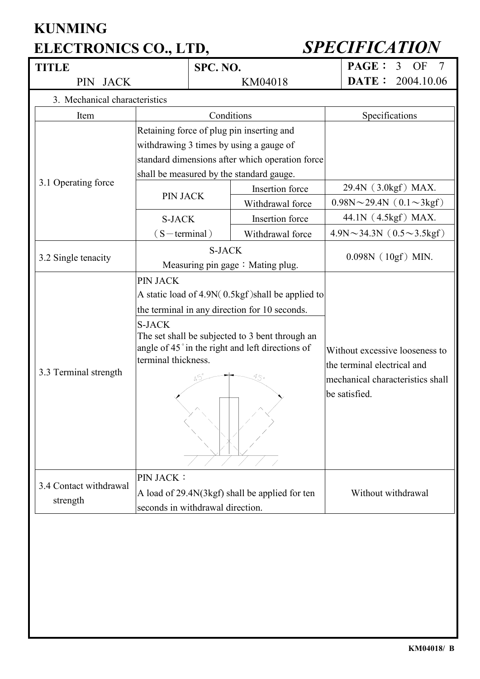### **KUNMING**

## **ELECTRONICS CO., LTD,** *SPECIFICATION*

| TITLE                         |                                                   | SPC. NO.                                                                           |                                                 |                                        | <b>PAGE:</b>                                                  | OF<br>7<br>3                          |  |
|-------------------------------|---------------------------------------------------|------------------------------------------------------------------------------------|-------------------------------------------------|----------------------------------------|---------------------------------------------------------------|---------------------------------------|--|
| PIN JACK                      |                                                   | KM04018                                                                            |                                                 |                                        | DATE:                                                         | 2004.10.06                            |  |
| 3. Mechanical characteristics |                                                   |                                                                                    |                                                 |                                        |                                                               |                                       |  |
| Item                          |                                                   | Conditions                                                                         |                                                 |                                        |                                                               | Specifications                        |  |
|                               |                                                   |                                                                                    | Retaining force of plug pin inserting and       |                                        |                                                               |                                       |  |
|                               |                                                   |                                                                                    | withdrawing 3 times by using a gauge of         |                                        |                                                               |                                       |  |
|                               |                                                   |                                                                                    | standard dimensions after which operation force |                                        |                                                               |                                       |  |
|                               |                                                   |                                                                                    | shall be measured by the standard gauge.        |                                        |                                                               |                                       |  |
| 3.1 Operating force           | <b>PIN JACK</b>                                   |                                                                                    | Insertion force                                 |                                        |                                                               | 29.4N (3.0kgf) MAX.                   |  |
|                               |                                                   |                                                                                    | Withdrawal force                                | $0.98N \sim 29.4N$ ( $0.1 \sim 3kgf$ ) |                                                               |                                       |  |
|                               | <b>S-JACK</b>                                     |                                                                                    | Insertion force                                 |                                        |                                                               | 44.1N (4.5kgf) MAX.                   |  |
|                               | $(S-terminal)$                                    |                                                                                    | Withdrawal force                                |                                        |                                                               | $4.9N \sim 34.3N$ (0.5 $\sim$ 3.5kgf) |  |
|                               |                                                   | <b>S-JACK</b>                                                                      |                                                 |                                        |                                                               |                                       |  |
| 3.2 Single tenacity           |                                                   |                                                                                    | Measuring pin gage: Mating plug.                | $0.098N$ (10gf) MIN.                   |                                                               |                                       |  |
|                               | PIN JACK                                          |                                                                                    |                                                 |                                        |                                                               |                                       |  |
|                               | A static load of 4.9N(0.5kgf) shall be applied to |                                                                                    |                                                 |                                        |                                                               |                                       |  |
|                               | the terminal in any direction for 10 seconds.     |                                                                                    |                                                 |                                        |                                                               |                                       |  |
|                               | <b>S-JACK</b>                                     |                                                                                    |                                                 |                                        |                                                               |                                       |  |
|                               |                                                   |                                                                                    | The set shall be subjected to 3 bent through an |                                        |                                                               |                                       |  |
|                               | angle of 45° in the right and left directions of  |                                                                                    |                                                 |                                        | Without excessive looseness to<br>the terminal electrical and |                                       |  |
| 3.3 Terminal strength         | terminal thickness.                               |                                                                                    |                                                 |                                        |                                                               |                                       |  |
|                               |                                                   | 95.                                                                                | mechanical characteristics shall                |                                        |                                                               |                                       |  |
|                               |                                                   |                                                                                    |                                                 |                                        |                                                               |                                       |  |
|                               |                                                   |                                                                                    |                                                 |                                        |                                                               |                                       |  |
|                               |                                                   |                                                                                    |                                                 |                                        |                                                               |                                       |  |
|                               |                                                   |                                                                                    |                                                 |                                        |                                                               |                                       |  |
|                               | <b>PIN JACK:</b>                                  |                                                                                    |                                                 |                                        |                                                               |                                       |  |
| 3.4 Contact withdrawal        |                                                   |                                                                                    |                                                 |                                        |                                                               | Without withdrawal                    |  |
| strength                      |                                                   | A load of 29.4N(3kgf) shall be applied for ten<br>seconds in withdrawal direction. |                                                 |                                        |                                                               |                                       |  |
|                               |                                                   |                                                                                    |                                                 |                                        |                                                               |                                       |  |
|                               |                                                   |                                                                                    |                                                 |                                        |                                                               |                                       |  |
|                               |                                                   |                                                                                    |                                                 |                                        |                                                               |                                       |  |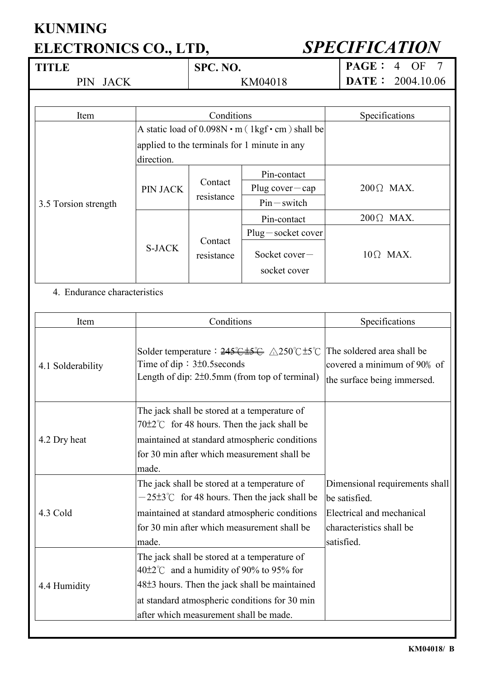| <b>TITLE</b> | SPC. NO. | PAGE: 4 OF 7              |
|--------------|----------|---------------------------|
| PIN JACK     | KM04018  | <b>DATE:</b> $2004.10.06$ |
|              |          |                           |

| Item                 |                                                              | Conditions            | Specifications                               |                   |
|----------------------|--------------------------------------------------------------|-----------------------|----------------------------------------------|-------------------|
|                      | A static load of $0.098N \cdot m$ (1kgf $\cdot$ cm) shall be |                       |                                              |                   |
|                      |                                                              |                       | applied to the terminals for 1 minute in any |                   |
|                      | direction.                                                   |                       |                                              |                   |
|                      |                                                              |                       | Pin-contact                                  |                   |
|                      | <b>PIN JACK</b>                                              | Contact<br>resistance | Plug cover $-\text{cap}$                     | $200 \Omega$ MAX. |
| 3.5 Torsion strength |                                                              |                       | $Pin-switch$                                 |                   |
|                      | Contact<br><b>S-JACK</b>                                     |                       | Pin-contact                                  | $200 \Omega$ MAX. |
|                      |                                                              |                       | $Plug - socket cover$                        |                   |
|                      |                                                              | resistance            | Socket cover-<br>socket cover                | $10\Omega$ MAX.   |

### 4. Endurance characteristics

| Item              | Conditions                                                                                                                                                                                                                                                | Specifications                                                                                                         |
|-------------------|-----------------------------------------------------------------------------------------------------------------------------------------------------------------------------------------------------------------------------------------------------------|------------------------------------------------------------------------------------------------------------------------|
| 4.1 Solderability | Solder temperature : $245\text{°}$ $\text{\AA}250\text{°}$ $\text{\AA}250\text{°}$ $\text{\AA}250\text{°}$<br>Time of dip: $3\pm0.5$ seconds<br>Length of dip: $2\pm0.5$ mm (from top of terminal)                                                        | The soldered area shall be<br>covered a minimum of 90% of<br>the surface being immersed.                               |
| 4.2 Dry heat      | The jack shall be stored at a temperature of<br>$70\pm2\degree$ for 48 hours. Then the jack shall be<br>maintained at standard atmospheric conditions<br>for 30 min after which measurement shall be<br>made.                                             |                                                                                                                        |
| 4.3 Cold          | The jack shall be stored at a temperature of<br>$-25\pm3\degree$ C for 48 hours. Then the jack shall be<br>maintained at standard atmospheric conditions<br>for 30 min after which measurement shall be<br>made.                                          | Dimensional requirements shall<br>be satisfied.<br>Electrical and mechanical<br>characteristics shall be<br>satisfied. |
| 4.4 Humidity      | The jack shall be stored at a temperature of<br>$40\pm2\degree$ and a humidity of 90% to 95% for<br>48 <sup>±</sup> 3 hours. Then the jack shall be maintained<br>at standard atmospheric conditions for 30 min<br>after which measurement shall be made. |                                                                                                                        |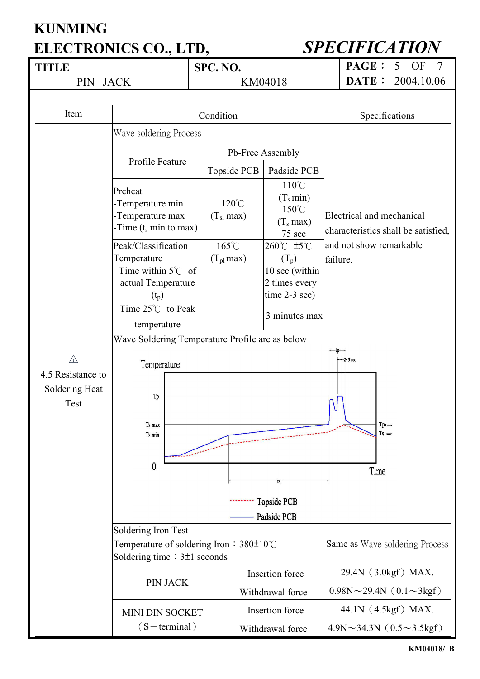| <b>TITLE</b>                        |                                                                                           | SPC. NO. |                                   |                                                                            | <b>PAGE:</b><br>5<br>OF<br>7                                     |  |  |  |
|-------------------------------------|-------------------------------------------------------------------------------------------|----------|-----------------------------------|----------------------------------------------------------------------------|------------------------------------------------------------------|--|--|--|
| <b>JACK</b><br>PIN                  |                                                                                           |          |                                   | KM04018                                                                    | DATE:<br>2004.10.06                                              |  |  |  |
|                                     |                                                                                           |          |                                   |                                                                            |                                                                  |  |  |  |
| Item                                | Condition                                                                                 |          |                                   |                                                                            | Specifications                                                   |  |  |  |
|                                     | Wave soldering Process                                                                    |          |                                   |                                                                            |                                                                  |  |  |  |
|                                     |                                                                                           |          |                                   | Pb-Free Assembly                                                           |                                                                  |  |  |  |
|                                     | Profile Feature                                                                           |          | Topside PCB                       | Padside PCB                                                                |                                                                  |  |  |  |
|                                     | Preheat<br>-Temperature min<br>-Temperature max<br>-Time $(t_s \text{ min to max})$       |          | $120^{\circ}$ C<br>$(T_{sl}$ max) | $110^{\circ}$ C<br>$(T_s min)$<br>$150^{\circ}$ C<br>$(T_s max)$<br>75 sec | Electrical and mechanical<br>characteristics shall be satisfied, |  |  |  |
|                                     | Peak/Classification                                                                       |          | 165°C                             | 260°C ±5°C                                                                 | and not show remarkable                                          |  |  |  |
|                                     | Temperature                                                                               |          | $(T_{\rm pl}$ max)                | $(T_p)$                                                                    | failure.                                                         |  |  |  |
|                                     | Time within $5^{\circ}$ C of                                                              |          |                                   | 10 sec (within                                                             |                                                                  |  |  |  |
|                                     | actual Temperature<br>$(t_p)$                                                             |          |                                   | 2 times every<br>time 2-3 sec)                                             |                                                                  |  |  |  |
|                                     | Time 25°C to Peak                                                                         |          |                                   | 3 minutes max                                                              |                                                                  |  |  |  |
|                                     | temperature                                                                               |          |                                   |                                                                            |                                                                  |  |  |  |
|                                     | Wave Soldering Temperature Profile are as below                                           |          |                                   |                                                                            |                                                                  |  |  |  |
| $\triangle$                         | Temperature                                                                               |          |                                   |                                                                            | tp-<br>$-2-3$ sec                                                |  |  |  |
| 4.5 Resistance to<br>Soldering Heat |                                                                                           |          |                                   |                                                                            |                                                                  |  |  |  |
| Test                                | Tp<br>Ts max                                                                              |          |                                   |                                                                            | Tpi max                                                          |  |  |  |
|                                     | Ts min                                                                                    |          |                                   |                                                                            | $Ts1$ max                                                        |  |  |  |
|                                     | $\bf{0}$                                                                                  |          |                                   |                                                                            | Time                                                             |  |  |  |
|                                     |                                                                                           |          |                                   |                                                                            |                                                                  |  |  |  |
|                                     |                                                                                           |          |                                   | <b>Topside PCB</b>                                                         |                                                                  |  |  |  |
|                                     |                                                                                           |          |                                   | Padside PCB                                                                |                                                                  |  |  |  |
|                                     | Soldering Iron Test                                                                       |          |                                   |                                                                            |                                                                  |  |  |  |
|                                     | Temperature of soldering Iron : $380\pm10^{\circ}$ C<br>Soldering time $: 3\pm 1$ seconds |          |                                   |                                                                            | Same as Wave soldering Process                                   |  |  |  |
|                                     |                                                                                           |          |                                   | Insertion force                                                            | 29.4N (3.0kgf) MAX.                                              |  |  |  |
|                                     | <b>PIN JACK</b>                                                                           |          |                                   | Withdrawal force                                                           | $0.98N \sim 29.4N$ ( $0.1 \sim 3kgf$ )                           |  |  |  |
|                                     | <b>MINI DIN SOCKET</b>                                                                    |          |                                   | Insertion force                                                            | 44.1N (4.5kgf) MAX.                                              |  |  |  |
|                                     | $(S-terminal)$                                                                            |          |                                   | Withdrawal force                                                           | $4.9N \sim 34.3N$ (0.5 $\sim$ 3.5kgf)                            |  |  |  |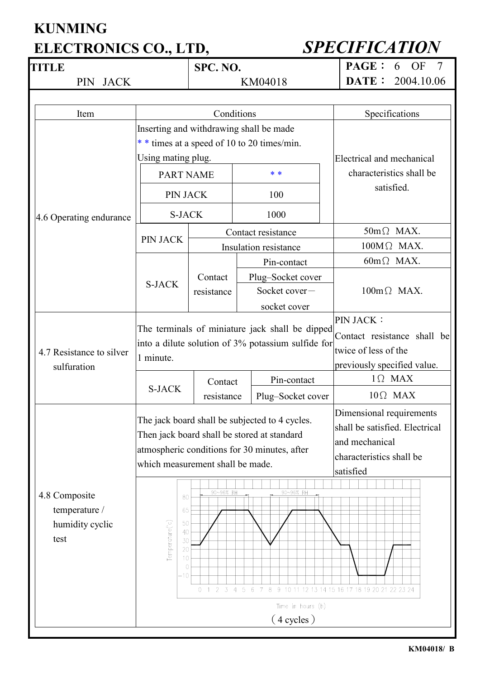# **KUNMING**

### **ELECTRONICS CO., LTD,** *SPECIFICATION*

| <b>TITLE</b>                                              |                                                                                                                    | SPC. NO.                 |     |                                                                                                                                                            |                | <b>PAGE:</b><br>OF<br>$\tau$<br>6                                                                                                                                             |
|-----------------------------------------------------------|--------------------------------------------------------------------------------------------------------------------|--------------------------|-----|------------------------------------------------------------------------------------------------------------------------------------------------------------|----------------|-------------------------------------------------------------------------------------------------------------------------------------------------------------------------------|
| <b>JACK</b><br>PIN                                        |                                                                                                                    | KM04018                  |     |                                                                                                                                                            |                | DATE:<br>2004.10.06                                                                                                                                                           |
|                                                           |                                                                                                                    |                          |     |                                                                                                                                                            |                |                                                                                                                                                                               |
| Item                                                      | Conditions                                                                                                         |                          |     |                                                                                                                                                            | Specifications |                                                                                                                                                                               |
|                                                           | Inserting and withdrawing shall be made                                                                            |                          |     |                                                                                                                                                            |                |                                                                                                                                                                               |
|                                                           | * * times at a speed of 10 to 20 times/min.                                                                        |                          |     |                                                                                                                                                            |                |                                                                                                                                                                               |
|                                                           | Using mating plug.                                                                                                 |                          |     |                                                                                                                                                            |                | Electrical and mechanical                                                                                                                                                     |
|                                                           | <b>PART NAME</b>                                                                                                   |                          | * * |                                                                                                                                                            |                | characteristics shall be                                                                                                                                                      |
|                                                           | PIN JACK                                                                                                           |                          |     | 100                                                                                                                                                        |                | satisfied.                                                                                                                                                                    |
| 4.6 Operating endurance                                   | <b>S-JACK</b>                                                                                                      |                          |     | 1000                                                                                                                                                       |                |                                                                                                                                                                               |
|                                                           |                                                                                                                    |                          |     | Contact resistance                                                                                                                                         |                | $50m\Omega$ MAX.                                                                                                                                                              |
|                                                           | PIN JACK                                                                                                           |                          |     | Insulation resistance                                                                                                                                      |                | $100M\Omega$ MAX.                                                                                                                                                             |
|                                                           |                                                                                                                    |                          |     | Pin-contact                                                                                                                                                |                | $60m\Omega$ MAX.                                                                                                                                                              |
|                                                           | <b>S-JACK</b>                                                                                                      | Contact                  |     | Plug-Socket cover                                                                                                                                          |                |                                                                                                                                                                               |
|                                                           |                                                                                                                    | resistance               |     | Socket cover-<br>socket cover                                                                                                                              |                | $100m\Omega$ MAX.                                                                                                                                                             |
|                                                           |                                                                                                                    |                          |     |                                                                                                                                                            |                |                                                                                                                                                                               |
| 4.7 Resistance to silver<br>sulfuration                   | The terminals of miniature jack shall be dipped<br>into a dilute solution of 3% potassium sulfide for<br>1 minute. |                          |     |                                                                                                                                                            |                | <b>PIN JACK:</b><br>Contact resistance shall be<br>twice of less of the<br>previously specified value.                                                                        |
|                                                           |                                                                                                                    | Contact                  |     | Pin-contact                                                                                                                                                |                | $1 \Omega$ MAX                                                                                                                                                                |
|                                                           | <b>S-JACK</b>                                                                                                      | resistance               |     | Plug-Socket cover                                                                                                                                          |                | $10\Omega$ MAX                                                                                                                                                                |
| 4.8 Composite<br>temperature /<br>humidity cyclic<br>test | which measurement shall be made.<br>80<br>65<br>Temperature(°c)<br>50<br>40<br>30<br>20<br>10<br>$\Omega$<br>-10   | 90~96% RH<br>$0$ 1 2 3 4 | 5   | The jack board shall be subjected to 4 cycles.<br>Then jack board shall be stored at standard<br>atmospheric conditions for 30 minutes, after<br>90~96% RH |                | Dimensional requirements<br>shall be satisfied. Electrical<br>and mechanical<br>characteristics shall be<br>satisfied<br>6 7 8 9 10 11 12 13 14 15 16 17 18 19 20 21 22 23 24 |
|                                                           | Time in hours (h)                                                                                                  |                          |     |                                                                                                                                                            |                |                                                                                                                                                                               |
|                                                           |                                                                                                                    |                          |     | $(4 \text{ cycles})$                                                                                                                                       |                |                                                                                                                                                                               |